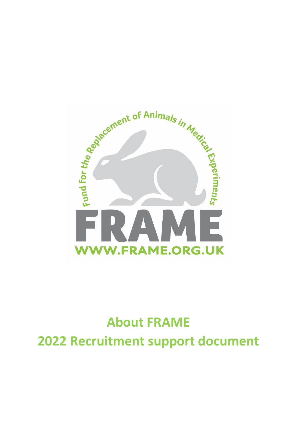

# **About FRAME 2022 Recruitment support document**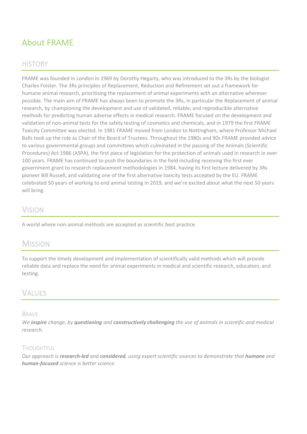# About FRAME

### **HISTORY**

FRAME was founded in London in 1969 by Dorothy Hegarty, who was introduced to the 3Rs by the biologist Charles Foister. The 3Rs principles of Replacement, Reduction and Refinement set out a framework for humane animal research, prioritising the replacement of animal experiments with an alternative wherever possible. The main aim of FRAME has always been to promote the 3Rs, in particular the Replacement of animal research, by championing the development and use of validated, reliable, and reproducible alternative methods for predicting human adverse effects in medical research. FRAME focused on the development and validation of non-animal tests for the safety testing of cosmetics and chemicals, and in 1979 the first FRAME Toxicity Committee was elected. In 1981 FRAME moved from London to Nottingham, where Professor Michael Balls took up the role as Chair of the Board of Trustees. Throughout the 1980s and 90s FRAME provided advice to various governmental groups and committees which culminated in the passing of the Animals (Scientific Procedures) Act 1986 (ASPA), the first piece of legislation for the protection of animals used in research in over 100 years. FRAME has continued to push the boundaries in the field including receiving the first ever government grant to research replacement methodologies in 1984, having its first lecture delivered by 3Rs pioneer Bill Russell, and validating one of the first alternative toxicity tests accepted by the EU. FRAME celebrated 50 years of working to end animal testing in 2019, and we're excited about what the next 50 years will bring.

### **VISION**

A world where non-animal methods are accepted as scientific best practice.

### **MISSION**

To support the timely development and implementation of scientifically valid methods which will provide reliable data and replace the need for animal experiments in medical and scientific research, education, and testing.

### VALUES

### BRAVE

*We inspire change, by questioning and constructively challenging the use of animals in scientific and medical research.*

### **THOUGHTFUL**

*Our approach is research-led and considered, using expert scientific sources to demonstrate that humane and human-focused science is better science.*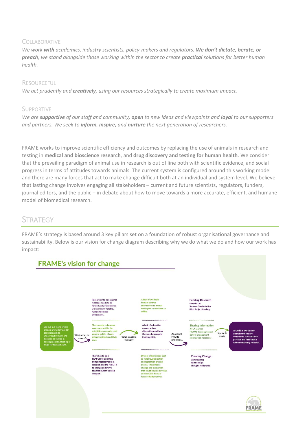### **COLLABORATIVE**

*We work with academics, industry scientists, policy-makers and regulators. We don't dictate, berate, or preach; we stand alongside those working within the sector to create practical solutions for better human health.*

#### **RESOURCEFUL**

*We act prudently and creatively, using our resources strategically to create maximum impact.* 

### **SUPPORTIVE**

*We are supportive of our staff and community, open to new ideas and viewpoints and loyal to our supporters and partners. We seek to inform, inspire, and nurture the next generation of researchers.*

FRAME works to improve scientific efficiency and outcomes by replacing the use of animals in research and testing in **medical and bioscience research**, and **drug discovery and testing for human health**. We consider that the prevailing paradigm of animal use in research is out of line both with scientific evidence, and social progress in terms of attitudes towards animals. The current system is configured around this working model and there are many forces that act to make change difficult both at an individual and system level. We believe that lasting change involves engaging all stakeholders – current and future scientists, regulators, funders, journal editors, and the public – in debate about how to move towards a more accurate, efficient, and humane model of biomedical research.

### **STRATEGY**

FRAME's strategy is based around 3 key pillars set on a foundation of robust organisational governance and sustainability. Below is our vision for change diagram describing why we do what we do and how our work has impact:

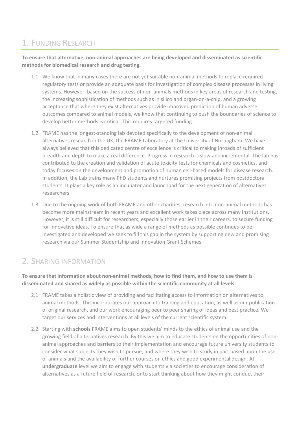# 1. FUNDING RESEARCH

**To ensure that alternative, non-animal approaches are being developed and disseminated as scientific methods for biomedical research and drug testing.** 

- 1.1. We know that in many cases there are not yet suitable non-animal methods to replace required regulatory tests or provide an adequate basis for investigation of complex disease processes in living systems. However, based on the success of non-animals methods in key areas of research and testing, the increasing sophistication of methods such as in silico and organ-on-a-chip, and a growing acceptance that where they exist alternatives provide improved prediction of human adverse outcomes compared to animal models, we know that continuing to push the boundaries of science to develop better methods is critical. This requires targeted funding.
- 1.2. FRAME has the longest-standing lab devoted specifically to the development of non-animal alternatives research in the UK, the FRAME Laboratory at the University of Nottingham. We have always believed that this dedicated centre of excellence is critical to making inroads of sufficient breadth and depth to make a real difference. Progress in research is slow and incremental. The lab has contributed to the creation and validation of acute toxicity tests for chemicals and cosmetics, and today focuses on the development and promotion of human cell-based models for disease research. In addition, the Lab trains many PhD students and nurtures promising projects from postdoctoral students. It plays a key role as an incubator and launchpad for the next generation of alternatives researchers.
- 1.3. Due to the ongoing work of both FRAME and other charities, research into non-animal methods has become more mainstream in recent years and excellent work takes place across many institutions. However, it is still difficult for researchers, especially those earlier in their careers, to secure funding for innovative ideas. To ensure that as wide a range of methods as possible continues to be investigated and developed we seek to fill this gap in the system by supporting new and promising research via our Summer Studentship and Innovation Grant Schemes.

# 2. SHARING INFORMATION

**To ensure that information about non-animal methods, how to find them, and how to use them is disseminated and shared as widely as possible within the scientific community at all levels.**

- 2.1. FRAME takes a holistic view of providing and facilitating access to information on alternatives to animal methods. This incorporates our approach to training and education, as well as our publication of original research, and our work encouraging peer to peer sharing of ideas and best practice. We target our services and interventions at all levels of the current scientific system.
- 2.2. Starting with **schools** FRAME aims to open students' minds to the ethics of animal use and the growing field of alternatives research. By this we aim to educate students on the opportunities of nonanimal approaches and barriers to their implementation and encourage future university students to consider what subjects they wish to pursue, and where they wish to study in part based upon the use of animals and the availability of further courses on ethics and good experimental design. At **undergraduate** level we aim to engage with students via societies to encourage consideration of alternatives as a future field of research, or to start thinking about how they might conduct their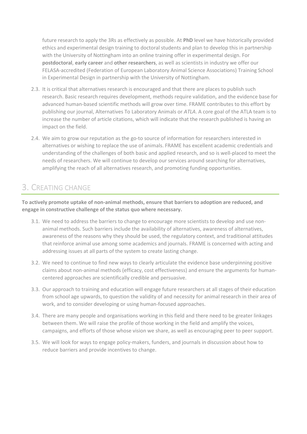future research to apply the 3Rs as effectively as possible. At **PhD** level we have historically provided ethics and experimental design training to doctoral students and plan to develop this in partnership with the University of Nottingham into an online training offer in experimental design. For **postdoctoral**, **early career** and **other researchers**, as well as scientists in industry we offer our FELASA-accredited (Federation of European Laboratory Animal Science Associations) Training School in Experimental Design in partnership with the University of Nottingham.

- 2.3. It is critical that alternatives research is encouraged and that there are places to publish such research. Basic research requires development, methods require validation, and the evidence base for advanced human-based scientific methods will grow over time. FRAME contributes to this effort by publishing our journal, Alternatives To Laboratory Animals or *ATLA*. A core goal of the ATLA team is to increase the number of article citations, which will indicate that the research published is having an impact on the field.
- 2.4. We aim to grow our reputation as the go-to source of information for researchers interested in alternatives or wishing to replace the use of animals. FRAME has excellent academic credentials and understanding of the challenges of both basic and applied research, and so is well-placed to meet the needs of researchers. We will continue to develop our services around searching for alternatives, amplifying the reach of all alternatives research, and promoting funding opportunities.

# 3. CREATING CHANGE

**To actively promote uptake of non-animal methods, ensure that barriers to adoption are reduced, and engage in constructive challenge of the status quo where necessary.**

- 3.1. We need to address the barriers to change to encourage more scientists to develop and use nonanimal methods. Such barriers include the availability of alternatives, awareness of alternatives, awareness of the reasons why they should be used, the regulatory context, and traditional attitudes that reinforce animal use among some academics and journals. FRAME is concerned with acting and addressing issues at all parts of the system to create lasting change.
- 3.2. We need to continue to find new ways to clearly articulate the evidence base underpinning positive claims about non-animal methods (efficacy, cost effectiveness) and ensure the arguments for humancentered approaches are scientifically credible and persuasive.
- 3.3. Our approach to training and education will engage future researchers at all stages of their education from school age upwards, to question the validity of and necessity for animal research in their area of work, and to consider developing or using human-focused approaches.
- 3.4. There are many people and organisations working in this field and there need to be greater linkages between them. We will raise the profile of those working in the field and amplify the voices, campaigns, and efforts of those whose vision we share, as well as encouraging peer to peer support.
- 3.5. We will look for ways to engage policy-makers, funders, and journals in discussion about how to reduce barriers and provide incentives to change.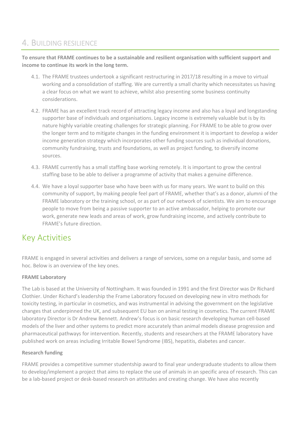## 4. BUILDING RESILIENCE

**To ensure that FRAME continues to be a sustainable and resilient organisation with sufficient support and income to continue its work in the long term.**

- 4.1. The FRAME trustees undertook a significant restructuring in 2017/18 resulting in a move to virtual working and a consolidation of staffing. We are currently a small charity which necessitates us having a clear focus on what we want to achieve, whilst also presenting some business continuity considerations.
- 4.2. FRAME has an excellent track record of attracting legacy income and also has a loyal and longstanding supporter base of individuals and organisations. Legacy income is extremely valuable but is by its nature highly variable creating challenges for strategic planning. For FRAME to be able to grow over the longer term and to mitigate changes in the funding environment it is important to develop a wider income generation strategy which incorporates other funding sources such as individual donations, community fundraising, trusts and foundations, as well as project funding, to diversify income sources.
- 4.3. FRAME currently has a small staffing base working remotely. It is important to grow the central staffing base to be able to deliver a programme of activity that makes a genuine difference.
- 4.4. We have a loyal supporter base who have been with us for many years. We want to build on this community of support, by making people feel part of FRAME, whether that's as a donor, alumni of the FRAME laboratory or the training school, or as part of our network of scientists. We aim to encourage people to move from being a passive supporter to an active ambassador, helping to promote our work, generate new leads and areas of work, grow fundraising income, and actively contribute to FRAME's future direction.

# Key Activities

FRAME is engaged in several activities and delivers a range of services, some on a regular basis, and some ad hoc. Below is an overview of the key ones.

### **FRAME Laboratory**

The Lab is based at the University of Nottingham. It was founded in 1991 and the first Director was Dr Richard Clothier. Under Richard's leadership the Frame Laboratory focused on developing new in vitro methods for toxicity testing, in particular in cosmetics, and was instrumental in advising the government on the legislative changes that underpinned the UK, and subsequent EU ban on animal testing in cosmetics. The current FRAME laboratory Director is Dr Andrew Bennett. Andrew's focus is on basic research developing human cell-based models of the liver and other systems to predict more accurately than animal models disease progression and pharmaceutical pathways for intervention. Recently, students and researchers at the FRAME laboratory have published work on areas including Irritable Bowel Syndrome (IBS), hepatitis, diabetes and cancer.

#### **Research funding**

FRAME provides a competitive summer studentship award to final year undergraduate students to allow them to develop/implement a project that aims to replace the use of animals in an specific area of research. This can be a lab-based project or desk-based research on attitudes and creating change. We have also recently